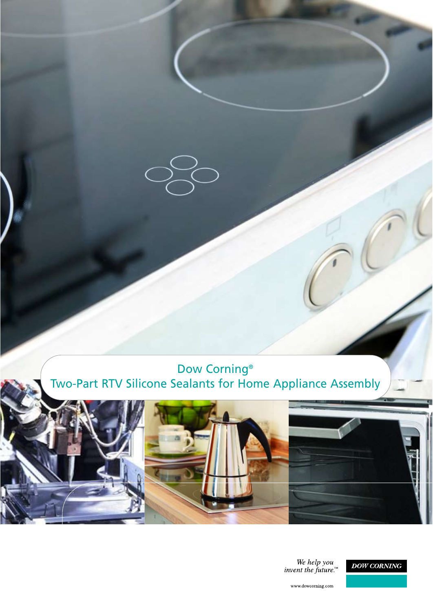



We help you<br>invent the future.<sup> $M$ </sup>



www.dowcorning.com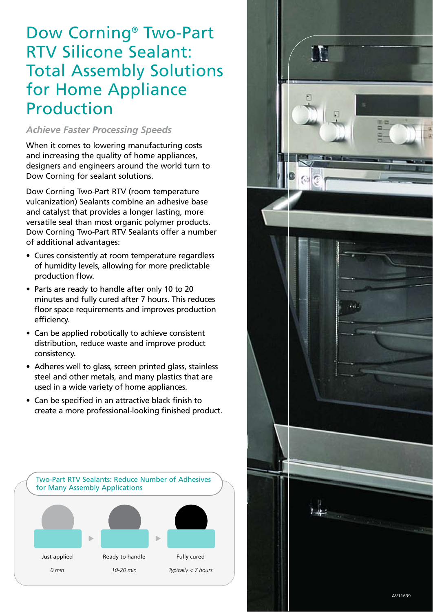# Dow Corning® Two-Part RTV Silicone Sealant: Total Assembly Solutions for Home Appliance Production

## *Achieve Faster Processing Speeds*

When it comes to lowering manufacturing costs and increasing the quality of home appliances, designers and engineers around the world turn to Dow Corning for sealant solutions.

Dow Corning Two-Part RTV (room temperature vulcanization) Sealants combine an adhesive base and catalyst that provides a longer lasting, more versatile seal than most organic polymer products. Dow Corning Two-Part RTV Sealants offer a number of additional advantages:

- Cures consistently at room temperature regardless of humidity levels, allowing for more predictable production flow.
- Parts are ready to handle after only 10 to 20 minutes and fully cured after 7 hours. This reduces floor space requirements and improves production efficiency.
- Can be applied robotically to achieve consistent distribution, reduce waste and improve product consistency.
- Adheres well to glass, screen printed glass, stainless steel and other metals, and many plastics that are used in a wide variety of home appliances.
- Can be specified in an attractive black finish to create a more professional-looking finished product.



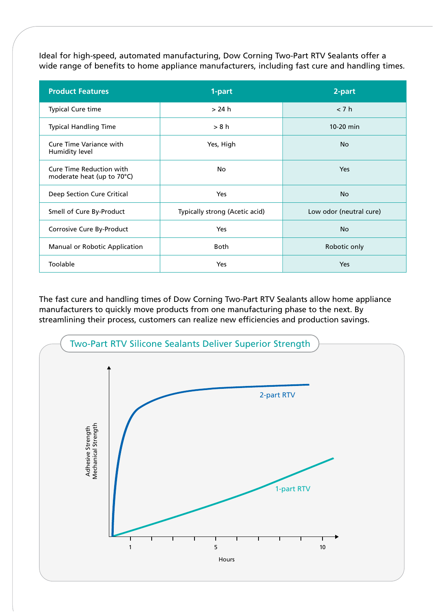Ideal for high-speed, automated manufacturing, Dow Corning Two-Part RTV Sealants offer a wide range of benefits to home appliance manufacturers, including fast cure and handling times.

| <b>Product Features</b>                                       | 1-part                         | 2-part                  |
|---------------------------------------------------------------|--------------------------------|-------------------------|
| <b>Typical Cure time</b>                                      | > 24 h                         | < 7 h                   |
| <b>Typical Handling Time</b>                                  | > 8 h                          | $10-20$ min             |
| Cure Time Variance with<br>Humidity level                     | Yes, High                      | <b>No</b>               |
| <b>Cure Time Reduction with</b><br>moderate heat (up to 70°C) | No                             | <b>Yes</b>              |
| Deep Section Cure Critical                                    | <b>Yes</b>                     | <b>No</b>               |
| Smell of Cure By-Product                                      | Typically strong (Acetic acid) | Low odor (neutral cure) |
| Corrosive Cure By-Product                                     | <b>Yes</b>                     | <b>No</b>               |
| Manual or Robotic Application                                 | Both                           | Robotic only            |
| Toolable                                                      | Yes                            | <b>Yes</b>              |

The fast cure and handling times of Dow Corning Two-Part RTV Sealants allow home appliance manufacturers to quickly move products from one manufacturing phase to the next. By streamlining their process, customers can realize new efficiencies and production savings.

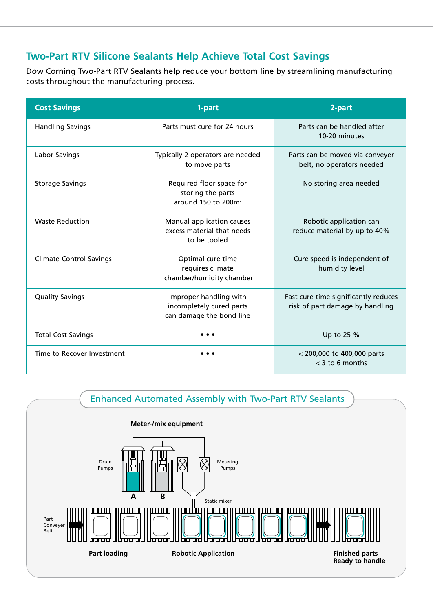## **Two-Part RTV Silicone Sealants Help Achieve Total Cost Savings**

Dow Corning Two-Part RTV Sealants help reduce your bottom line by streamlining manufacturing costs throughout the manufacturing process.

| <b>Cost Savings</b>            | 1-part                                                                           | 2-part                                                                  |
|--------------------------------|----------------------------------------------------------------------------------|-------------------------------------------------------------------------|
| <b>Handling Savings</b>        | Parts must cure for 24 hours                                                     | Parts can be handled after<br>10-20 minutes                             |
| <b>Labor Savings</b>           | Typically 2 operators are needed<br>to move parts                                | Parts can be moved via conveyer<br>belt, no operators needed            |
| <b>Storage Savings</b>         | Required floor space for<br>storing the parts<br>around 150 to 200m <sup>2</sup> | No storing area needed                                                  |
| <b>Waste Reduction</b>         | Manual application causes<br>excess material that needs<br>to be tooled          | Robotic application can<br>reduce material by up to 40%                 |
| <b>Climate Control Savings</b> | Optimal cure time<br>requires climate<br>chamber/humidity chamber                | Cure speed is independent of<br>humidity level                          |
| <b>Quality Savings</b>         | Improper handling with<br>incompletely cured parts<br>can damage the bond line   | Fast cure time significantly reduces<br>risk of part damage by handling |
| <b>Total Cost Savings</b>      |                                                                                  | Up to 25 %                                                              |
| Time to Recover Investment     |                                                                                  | < 200,000 to 400,000 parts<br>$<$ 3 to 6 months                         |

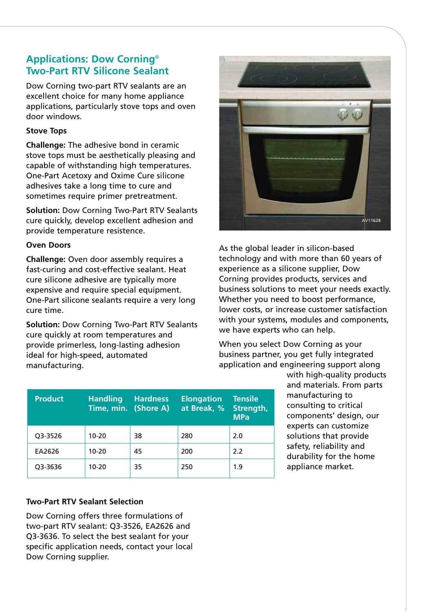## **Applications: Dow Corning**® **Two-Part RTV Silicone Sealant**

Dow Corning two-part RTV sealants are an excellent choice for many home appliance applications, particularly stove tops and oven door windows.

### **Stove Tops**

**Challenge:** The adhesive bond in ceramic stove tops must be aesthetically pleasing and capable of withstanding high temperatures. One-Part Acetoxy and Oxime Cure silicone adhesives take a long time to cure and sometimes require primer pretreatment.

**Solution:** Dow Corning Two-Part RTV Sealants cure quickly, develop excellent adhesion and provide temperature resistence.

### **Oven Doors**

**Challenge:** Oven door assembly requires a fast-curing and cost-effective sealant. Heat cure silicone adhesive are typically more expensive and require special equipment. One-Part silicone sealants require a very long cure time.

**Solution:** Dow Corning Two-Part RTV Sealants cure quickly at room temperatures and provide primerless, long-lasting adhesion ideal for high-speed, automated manufacturing.



As the global leader in silicon-based technology and with more than 60 years of experience as a silicone supplier, Dow Corning provides products, services and business solutions to meet your needs exactly. Whether you need to boost performance, lower costs, or increase customer satisfaction with your systems, modules and components, we have experts who can help.

When you select Dow Corning as your business partner, you get fully integrated application and engineering support along

| <b>Product</b> | <b>Handling</b> | <b>Hardness</b><br>Time, min. (Shore A) | <b>Elongation</b><br>at Break, % | <b>Tensile</b><br>Strength,<br><b>MPa</b> |
|----------------|-----------------|-----------------------------------------|----------------------------------|-------------------------------------------|
| Q3-3526        | $10 - 20$       | 38                                      | 280                              | 2.0                                       |
| EA2626         | $10 - 20$       | 45                                      | 200                              | 2.2                                       |
| Q3-3636        | $10 - 20$       | 35                                      | 250                              | 1.9                                       |

with high-quality products and materials. From parts manufacturing to consulting to critical components' design, our experts can customize solutions that provide safety, reliability and durability for the home appliance market.

## **Two-Part RTV Sealant Selection**

Dow Corning offers three formulations of two-part RTV sealant: Q3-3526, EA2626 and Q3-3636. To select the best sealant for your specific application needs, contact your local Dow Corning supplier.